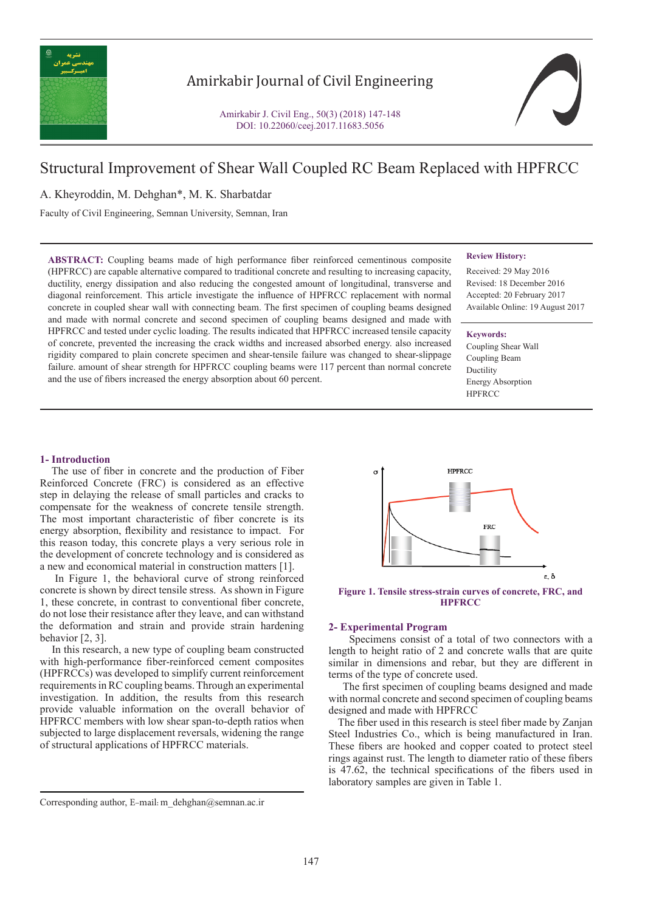

# Amirkabir Journal of Civil Engineering

Amirkabir J. Civil Eng., 50(3) (2018) 147-148 DOI: 10.22060/ceej.2017.11683.5056



# Structural Improvement of Shear Wall Coupled RC Beam Replaced with HPFRCC

A. Kheyroddin, M. Dehghan\*, M. K. Sharbatdar

Faculty of Civil Engineering, Semnan University, Semnan, Iran

**ABSTRACT:** Coupling beams made of high performance fiber reinforced cementinous composite (HPFRCC) are capable alternative compared to traditional concrete and resulting to increasing capacity, ductility, energy dissipation and also reducing the congested amount of longitudinal, transverse and diagonal reinforcement. This article investigate the influence of HPFRCC replacement with normal concrete in coupled shear wall with connecting beam. The first specimen of coupling beams designed and made with normal concrete and second specimen of coupling beams designed and made with HPFRCC and tested under cyclic loading. The results indicated that HPFRCC increased tensile capacity of concrete, prevented the increasing the crack widths and increased absorbed energy. also increased rigidity compared to plain concrete specimen and shear-tensile failure was changed to shear-slippage failure. amount of shear strength for HPFRCC coupling beams were 117 percent than normal concrete and the use of fibers increased the energy absorption about 60 percent.

#### **Review History:**

Received: 29 May 2016 Revised: 18 December 2016 Accepted: 20 February 2017 Available Online: 19 August 2017

#### **Keywords:**

Coupling Shear Wall Coupling Beam Ductility Energy Absorption **HPFRCC** 

#### **1- Introduction**

 The use of fiber in concrete and the production of Fiber Reinforced Concrete (FRC) is considered as an effective step in delaying the release of small particles and cracks to compensate for the weakness of concrete tensile strength. The most important characteristic of fiber concrete is its energy absorption, flexibility and resistance to impact. For this reason today, this concrete plays a very serious role in the development of concrete technology and is considered as a new and economical material in construction matters [1].

 In Figure 1, the behavioral curve of strong reinforced concrete is shown by direct tensile stress. As shown in Figure 1, these concrete, in contrast to conventional fiber concrete, do not lose their resistance after they leave, and can withstand the deformation and strain and provide strain hardening behavior [2, 3].

 In this research, a new type of coupling beam constructed with high-performance fiber-reinforced cement composites (HPFRCCs) was developed to simplify current reinforcement requirements in RC coupling beams. Through an experimental investigation. In addition, the results from this research provide valuable information on the overall behavior of HPFRCC members with low shear span-to-depth ratios when subjected to large displacement reversals, widening the range of structural applications of HPFRCC materials.

**Figure 1. Tensile stress-strain curves of concrete, FRC, and HPFRCC**

#### **2- Experimental Program**

 Specimens consist of a total of two connectors with a length to height ratio of 2 and concrete walls that are quite similar in dimensions and rebar, but they are different in terms of the type of concrete used.

 The first specimen of coupling beams designed and made with normal concrete and second specimen of coupling beams designed and made with HPFRCC

 The fiber used in this research is steel fiber made by Zanjan Steel Industries Co., which is being manufactured in Iran. These fibers are hooked and copper coated to protect steel rings against rust. The length to diameter ratio of these fibers is 47.62, the technical specifications of the fibers used in laboratory samples are given in Table 1.

**HPFRCC**  $\mathbf{a}$ **FRC** ε. δ

Corresponding author, E-mail: m\_dehghan@semnan.ac.ir